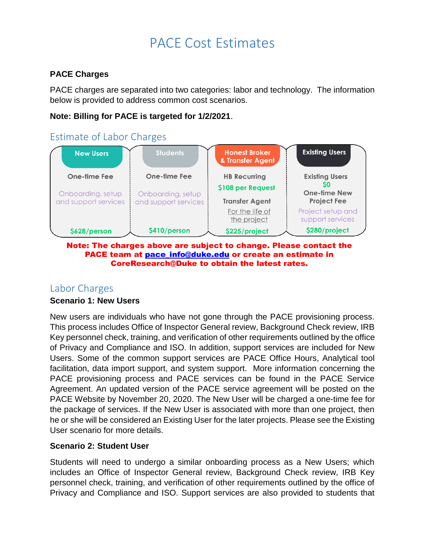# PACE Cost Estimates

#### **PACE Charges**

PACE charges are separated into two categories: labor and technology. The information below is provided to address common cost scenarios.

#### **Note: Billing for PACE is targeted for 1/2/2021**.

## Estimate of Labor Charges



#### Note: The charges above are subject to change. Please contact the PACE team at pace\_info@duke.edu or create an estimate in **CoreResearch@Duke to obtain the latest rates.**

### Labor Charges

#### **Scenario 1: New Users**

New users are individuals who have not gone through the PACE provisioning process. This process includes Office of Inspector General review, Background Check review, IRB Key personnel check, training, and verification of other requirements outlined by the office of Privacy and Compliance and ISO. In addition, support services are included for New Users. Some of the common support services are PACE Office Hours, Analytical tool facilitation, data import support, and system support. More information concerning the PACE provisioning process and PACE services can be found in the PACE Service Agreement. An updated version of the PACE service agreement will be posted on the PACE Website by November 20, 2020. The New User will be charged a one-time fee for the package of services. If the New User is associated with more than one project, then he or she will be considered an Existing User for the later projects. Please see the Existing User scenario for more details.

#### **Scenario 2: Student User**

Students will need to undergo a similar onboarding process as a New Users; which includes an Office of Inspector General review, Background Check review, IRB Key personnel check, training, and verification of other requirements outlined by the office of Privacy and Compliance and ISO. Support services are also provided to students that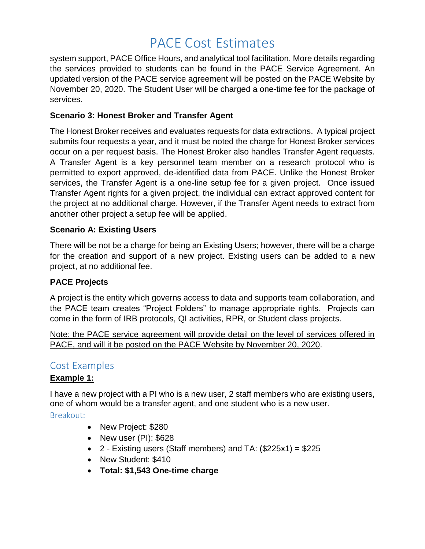# PACE Cost Estimates

system support, PACE Office Hours, and analytical tool facilitation. More details regarding the services provided to students can be found in the PACE Service Agreement. An updated version of the PACE service agreement will be posted on the PACE Website by November 20, 2020. The Student User will be charged a one-time fee for the package of services.

#### **Scenario 3: Honest Broker and Transfer Agent**

The Honest Broker receives and evaluates requests for data extractions. A typical project submits four requests a year, and it must be noted the charge for Honest Broker services occur on a per request basis. The Honest Broker also handles Transfer Agent requests. A Transfer Agent is a key personnel team member on a research protocol who is permitted to export approved, de-identified data from PACE. Unlike the Honest Broker services, the Transfer Agent is a one-line setup fee for a given project. Once issued Transfer Agent rights for a given project, the individual can extract approved content for the project at no additional charge. However, if the Transfer Agent needs to extract from another other project a setup fee will be applied.

#### **Scenario A: Existing Users**

There will be not be a charge for being an Existing Users; however, there will be a charge for the creation and support of a new project. Existing users can be added to a new project, at no additional fee.

#### **PACE Projects**

A project is the entity which governs access to data and supports team collaboration, and the PACE team creates "Project Folders" to manage appropriate rights. Projects can come in the form of IRB protocols, QI activities, RPR, or Student class projects.

Note: the PACE service agreement will provide detail on the level of services offered in PACE, and will it be posted on the PACE Website by November 20, 2020.

### Cost Examples

#### **Example 1:**

I have a new project with a PI who is a new user, 2 staff members who are existing users, one of whom would be a transfer agent, and one student who is a new user.

Breakout:

- New Project: \$280
- New user  $(PI)$ : \$628
- 2 Existing users (Staff members) and TA:  $(\$225x1) = \$225$
- New Student: \$410
- **Total: \$1,543 One-time charge**